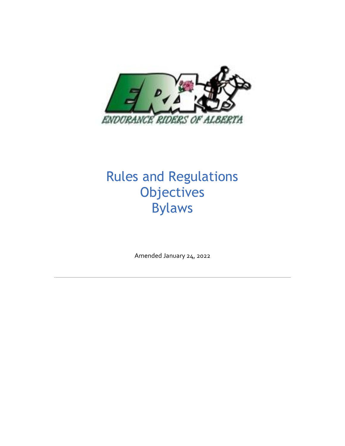

# Rules and Regulations **Objectives** Bylaws

Amended January 24, 2022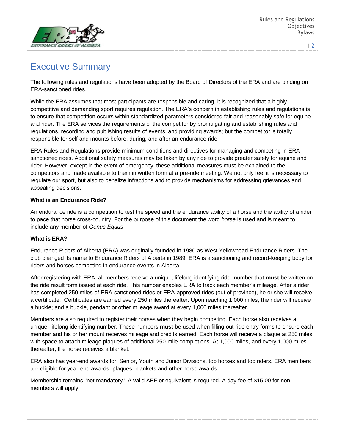

# Executive Summary

The following rules and regulations have been adopted by the Board of Directors of the ERA and are binding on ERA-sanctioned rides.

While the ERA assumes that most participants are responsible and caring, it is recognized that a highly competitive and demanding sport requires regulation. The ERA's concern in establishing rules and regulations is to ensure that competition occurs within standardized parameters considered fair and reasonably safe for equine and rider. The ERA services the requirements of the competitor by promulgating and establishing rules and regulations, recording and publishing results of events, and providing awards; but the competitor is totally responsible for self and mounts before, during, and after an endurance ride.

ERA Rules and Regulations provide minimum conditions and directives for managing and competing in ERAsanctioned rides. Additional safety measures may be taken by any ride to provide greater safety for equine and rider. However, except in the event of emergency, these additional measures must be explained to the competitors and made available to them in written form at a pre-ride meeting. We not only feel it is necessary to regulate our sport, but also to penalize infractions and to provide mechanisms for addressing grievances and appealing decisions.

### **What is an Endurance Ride?**

An endurance ride is a competition to test the speed and the endurance ability of a horse and the ability of a rider to pace that horse cross-country. For the purpose of this document the word *horse* is used and is meant to include any member of *Genus Equus*.

### **What is ERA?**

Endurance Riders of Alberta (ERA) was originally founded in 1980 as West Yellowhead Endurance Riders. The club changed its name to Endurance Riders of Alberta in 1989. ERA is a sanctioning and record-keeping body for riders and horses competing in endurance events in Alberta.

After registering with ERA, all members receive a unique, lifelong identifying rider number that **must** be written on the ride result form issued at each ride. This number enables ERA to track each member's mileage. After a rider has completed 250 miles of ERA-sanctioned rides or ERA-approved rides (out of province), he or she will receive a certificate. Certificates are earned every 250 miles thereafter. Upon reaching 1,000 miles; the rider will receive a buckle; and a buckle, pendant or other mileage award at every 1,000 miles thereafter.

Members are also required to register their horses when they begin competing. Each horse also receives a unique, lifelong identifying number. These numbers **must** be used when filling out ride entry forms to ensure each member and his or her mount receives mileage and credits earned. Each horse will receive a plaque at 250 miles with space to attach mileage plaques of additional 250-mile completions. At 1,000 miles, and every 1,000 miles thereafter, the horse receives a blanket.

ERA also has year-end awards for, Senior, Youth and Junior Divisions, top horses and top riders. ERA members are eligible for year-end awards; plaques, blankets and other horse awards.

Membership remains "not mandatory." A valid AEF or equivalent is required. A day fee of \$15.00 for nonmembers will apply.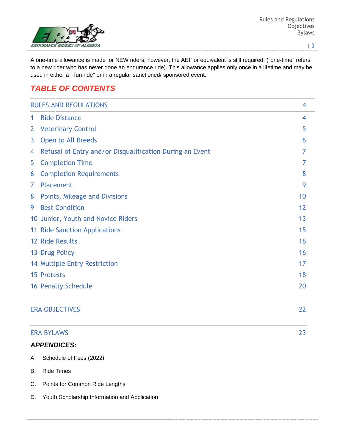

A one-time allowance is made for NEW riders; however, the AEF or equivalent is still required. ("one-time" refers to a new rider who has never done an endurance ride). This allowance applies only once in a lifetime and may be used in either a " fun ride" or in a regular sanctioned/ sponsored event.

### *TABLE OF CONTENTS*

|                | <b>RULES AND REGULATIONS</b>                             | 4  |
|----------------|----------------------------------------------------------|----|
| 1              | <b>Ride Distance</b>                                     | 4  |
| $\overline{2}$ | <b>Veterinary Control</b>                                | 5  |
| 3              | Open to All Breeds                                       | 6  |
| 4              | Refusal of Entry and/or Disqualification During an Event | 7  |
| 5              | <b>Completion Time</b>                                   | 7  |
| 6              | <b>Completion Requirements</b>                           | 8  |
| 7              | Placement                                                | 9  |
| 8              | Points, Mileage and Divisions                            | 10 |
| 9              | <b>Best Condition</b>                                    | 12 |
|                | 10 Junior, Youth and Novice Riders                       | 13 |
|                | 11 Ride Sanction Applications                            | 15 |
|                | 12 Ride Results                                          | 16 |
|                | 13 Drug Policy                                           | 16 |
|                | 14 Multiple Entry Restriction                            | 17 |
|                | <b>15 Protests</b>                                       | 18 |
|                | <b>16 Penalty Schedule</b>                               | 20 |
|                | <b>ERA OBJECTIVES</b>                                    | 22 |
|                | <b>ERA BYLAWS</b>                                        | 23 |
|                | <b>APPENDICES:</b>                                       |    |
| A.             | Schedule of Fees (2022)                                  |    |

- B. Ride Times
- C. Points for Common Ride Lengths
- D. Youth Scholarship Information and Application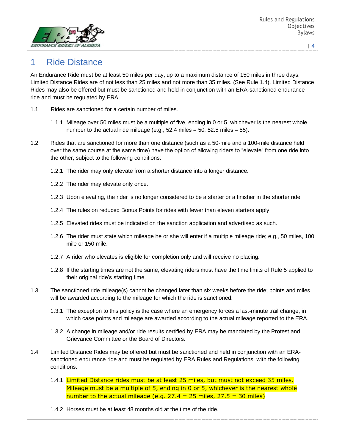

## 1 Ride Distance

An Endurance Ride must be at least 50 miles per day, up to a maximum distance of 150 miles in three days. Limited Distance Rides are of not less than 25 miles and not more than 35 miles. (See Rule 1.4). Limited Distance Rides may also be offered but must be sanctioned and held in conjunction with an ERA-sanctioned endurance ride and must be regulated by ERA.

- 1.1 Rides are sanctioned for a certain number of miles.
	- 1.1.1 Mileage over 50 miles must be a multiple of five, ending in 0 or 5, whichever is the nearest whole number to the actual ride mileage (e.g.,  $52.4$  miles =  $50$ ,  $52.5$  miles =  $55$ ).
- 1.2 Rides that are sanctioned for more than one distance (such as a 50-mile and a 100-mile distance held over the same course at the same time) have the option of allowing riders to "elevate" from one ride into the other, subject to the following conditions:
	- 1.2.1 The rider may only elevate from a shorter distance into a longer distance.
	- 1.2.2 The rider may elevate only once.
	- 1.2.3 Upon elevating, the rider is no longer considered to be a starter or a finisher in the shorter ride.
	- 1.2.4 The rules on reduced Bonus Points for rides with fewer than eleven starters apply.
	- 1.2.5 Elevated rides must be indicated on the sanction application and advertised as such.
	- 1.2.6 The rider must state which mileage he or she will enter if a multiple mileage ride; e.g., 50 miles, 100 mile or 150 mile.
	- 1.2.7 A rider who elevates is eligible for completion only and will receive no placing.
	- 1.2.8 If the starting times are not the same, elevating riders must have the time limits of Rule 5 applied to their original ride's starting time.
- 1.3 The sanctioned ride mileage(s) cannot be changed later than six weeks before the ride; points and miles will be awarded according to the mileage for which the ride is sanctioned.
	- 1.3.1 The exception to this policy is the case where an emergency forces a last-minute trail change, in which case points and mileage are awarded according to the actual mileage reported to the ERA.
	- 1.3.2 A change in mileage and/or ride results certified by ERA may be mandated by the Protest and Grievance Committee or the Board of Directors.
- 1.4 Limited Distance Rides may be offered but must be sanctioned and held in conjunction with an ERAsanctioned endurance ride and must be regulated by ERA Rules and Regulations, with the following conditions:
	- 1.4.1 Limited Distance rides must be at least 25 miles, but must not exceed 35 miles. Mileage must be a multiple of 5, ending in 0 or 5, whichever is the nearest whole number to the actual mileage (e.g.  $27.4 = 25$  miles,  $27.5 = 30$  miles)
	- 1.4.2 Horses must be at least 48 months old at the time of the ride.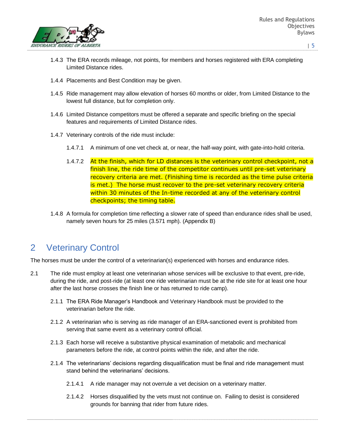

- 1.4.3 The ERA records mileage, not points, for members and horses registered with ERA completing Limited Distance rides.
- 1.4.4 Placements and Best Condition may be given.
- 1.4.5 Ride management may allow elevation of horses 60 months or older, from Limited Distance to the lowest full distance, but for completion only.
- 1.4.6 Limited Distance competitors must be offered a separate and specific briefing on the special features and requirements of Limited Distance rides.
- 1.4.7 Veterinary controls of the ride must include:
	- 1.4.7.1 A minimum of one vet check at, or near, the half-way point, with gate-into-hold criteria.
	- 1.4.7.2 At the finish, which for LD distances is the veterinary control checkpoint, not a finish line, the ride time of the competitor continues until pre-set veterinary recovery criteria are met. (Finishing time is recorded as the time pulse criteria is met.) The horse must recover to the pre-set veterinary recovery criteria within 30 minutes of the In-time recorded at any of the veterinary control checkpoints; the timing table.
- 1.4.8 A formula for completion time reflecting a slower rate of speed than endurance rides shall be used, namely seven hours for 25 miles (3.571 mph). (Appendix B)

### 2 Veterinary Control

The horses must be under the control of a veterinarian(s) experienced with horses and endurance rides.

- 2.1 The ride must employ at least one veterinarian whose services will be exclusive to that event, pre-ride, during the ride, and post-ride (at least one ride veterinarian must be at the ride site for at least one hour after the last horse crosses the finish line or has returned to ride camp).
	- 2.1.1 The ERA Ride Manager's Handbook and Veterinary Handbook must be provided to the veterinarian before the ride.
	- 2.1.2 A veterinarian who is serving as ride manager of an ERA-sanctioned event is prohibited from serving that same event as a veterinary control official.
	- 2.1.3 Each horse will receive a substantive physical examination of metabolic and mechanical parameters before the ride, at control points within the ride, and after the ride.
	- 2.1.4 The veterinarians' decisions regarding disqualification must be final and ride management must stand behind the veterinarians' decisions.
		- 2.1.4.1 A ride manager may not overrule a vet decision on a veterinary matter.
		- 2.1.4.2 Horses disqualified by the vets must not continue on. Failing to desist is considered grounds for banning that rider from future rides.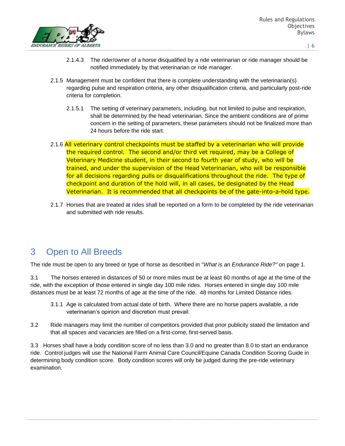

- | 6
- 2.1.4.3 The rider/owner of a horse disqualified by a ride veterinarian or ride manager should be notified immediately by that veterinarian or ride manager.
- 2.1.5 Management must be confident that there is complete understanding with the veterinarian(s) regarding pulse and respiration criteria, any other disqualification criteria, and particularly post-ride criteria for completion.
	- 2.1.5.1 The setting of veterinary parameters, including, but not limited to pulse and respiration, shall be determined by the head veterinarian. Since the ambient conditions are of prime concern in the setting of parameters, these parameters should not be finalized more than 24 hours before the ride start.
- 2.1.6 All veterinary control checkpoints must be staffed by a veterinarian who will provide the required control. The second and/or third vet required, may be a College of Veterinary Medicine student, in their second to fourth year of study, who will be trained, and under the supervision of the Head Veterinarian, who will be responsible for all decisions regarding pulls or disqualifications throughout the ride. The type of checkpoint and duration of the hold will, in all cases, be designated by the Head Veterinarian. It is recommended that all checkpoints be of the gate-into-a-hold type.
- 2.1.7 Horses that are treated at rides shall be reported on a form to be completed by the ride veterinarian and submitted with ride results.

## 3 Open to All Breeds

The ride must be open to any breed or type of horse as described in "*What is an Endurance Ride?"* on page 1.

3.1 The horses entered in distances of 50 or more miles must be at least 60 months of age at the time of the ride, with the exception of those entered in single day 100 mile rides. Horses entered in single day 100 mile distances must be at least 72 months of age at the time of the ride. 48 months for Limited Distance rides.

- 3.1.1 Age is calculated from actual date of birth. Where there are no horse papers available, a ride veterinarian's opinion and discretion must prevail.
- 3.2 Ride managers may limit the number of competitors provided that prior publicity stated the limitation and that all spaces and vacancies are filled on a first-come, first-served basis.

3.3 Horses shall have a body condition score of no less than 3.0 and no greater than 8.0 to start an endurance ride. Control judges will use the National Farm Animal Care Council/Equine Canada Condition Scoring Guide in determining body condition score. Body condition scores will only be judged during the pre-ride veterinary examination.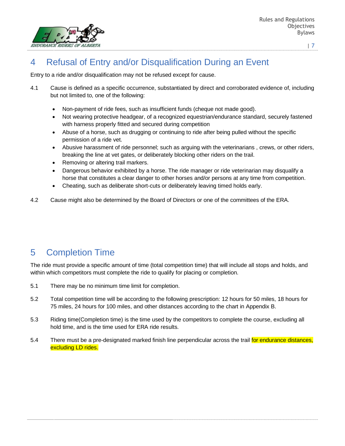

# 4 Refusal of Entry and/or Disqualification During an Event

Entry to a ride and/or disqualification may not be refused except for cause.

- 4.1 Cause is defined as a specific occurrence, substantiated by direct and corroborated evidence of, including but not limited to, one of the following:
	- Non-payment of ride fees, such as insufficient funds (cheque not made good).
	- Not wearing protective headgear, of a recognized equestrian/endurance standard, securely fastened with harness properly fitted and secured during competition
	- Abuse of a horse, such as drugging or continuing to ride after being pulled without the specific permission of a ride vet.
	- Abusive harassment of ride personnel; such as arguing with the veterinarians , crews, or other riders, breaking the line at vet gates, or deliberately blocking other riders on the trail.
	- Removing or altering trail markers.
	- Dangerous behavior exhibited by a horse. The ride manager or ride veterinarian may disqualify a horse that constitutes a clear danger to other horses and/or persons at any time from competition.
	- Cheating, such as deliberate short-cuts or deliberately leaving timed holds early.
- 4.2 Cause might also be determined by the Board of Directors or one of the committees of the ERA.

# 5 Completion Time

The ride must provide a specific amount of time (total competition time) that will include all stops and holds, and within which competitors must complete the ride to qualify for placing or completion.

- 5.1 There may be no minimum time limit for completion.
- 5.2 Total competition time will be according to the following prescription: 12 hours for 50 miles, 18 hours for 75 miles, 24 hours for 100 miles, and other distances according to the chart in Appendix B.
- 5.3 Riding time(Completion time) is the time used by the competitors to complete the course, excluding all hold time, and is the time used for ERA ride results.
- 5.4 There must be a pre-designated marked finish line perpendicular across the trail for endurance distances, excluding LD rides.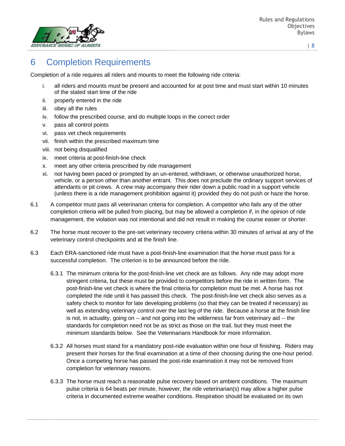

# 6 Completion Requirements

Completion of a ride requires all riders and mounts to meet the following ride criteria:

- i. all riders and mounts must be present and accounted for at post time and must start within 10 minutes of the stated start time of the ride
- ii. properly entered in the ride
- iii. obey all the rules
- iv. follow the prescribed course, and do multiple loops in the correct order
- v. pass all control points
- vi. pass vet check requirements
- vii. finish within the prescribed maximum time
- viii. not being disqualified
- ix. meet criteria at post-finish-line check
- x. meet any other criteria prescribed by ride management
- xi. not having been paced or prompted by an un-entered, withdrawn, or otherwise unauthorized horse, vehicle, or a person other than another entrant. This does not preclude the ordinary support services of attendants or pit crews. A crew may accompany their rider down a public road in a support vehicle (unless there is a ride management prohibition against it) provided they do not push or haze the horse.
- 6.1 A competitor must pass all veterinarian criteria for completion. A competitor who fails any of the other completion criteria will be pulled from placing, but may be allowed a completion if, in the opinion of ride management, the violation was not intentional and did not result in making the course easier or shorter.
- 6.2 The horse must recover to the pre-set veterinary recovery criteria within 30 minutes of arrival at any of the veterinary control checkpoints and at the finish line.
- 6.3 Each ERA-sanctioned ride must have a post-finish-line examination that the horse must pass for a successful completion. The criterion is to be announced before the ride.
	- 6.3.1 The minimum criteria for the post-finish-line vet check are as follows. Any ride may adopt more stringent criteria, but these must be provided to competitors before the ride in written form. The post-finish-line vet check is where the final criteria for completion must be met. A horse has not completed the ride until it has passed this check. The post-finish-line vet check also serves as a safety check to monitor for late developing problems (so that they can be treated if necessary) as well as extending veterinary control over the last leg of the ride. Because a horse at the finish line is not, in actuality, going on -- and not going into the wilderness far from veterinary aid -- the standards for completion need not be as strict as those on the trail, but they must meet the minimum standards below. See the Veterinarians Handbook for more information.
	- 6.3.2 All horses must stand for a mandatory post-ride evaluation within one hour of finishing. Riders may present their horses for the final examination at a time of their choosing during the one-hour period. Once a competing horse has passed the post-ride examination it may not be removed from completion for veterinary reasons.
	- 6.3.3 The horse must reach a reasonable pulse recovery based on ambient conditions. The maximum pulse criteria is 64 beats per minute, however, the ride veterinarian(s) may allow a higher pulse criteria in documented extreme weather conditions. Respiration should be evaluated on its own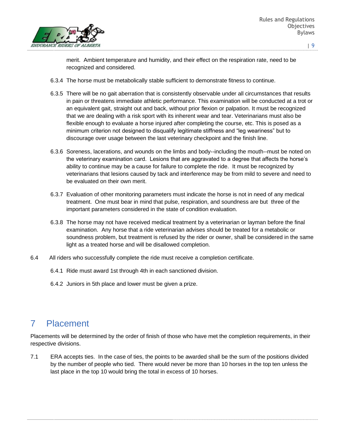

merit. Ambient temperature and humidity, and their effect on the respiration rate, need to be recognized and considered.

- 6.3.4 The horse must be metabolically stable sufficient to demonstrate fitness to continue.
- 6.3.5 There will be no gait aberration that is consistently observable under all circumstances that results in pain or threatens immediate athletic performance. This examination will be conducted at a trot or an equivalent gait, straight out and back, without prior flexion or palpation. It must be recognized that we are dealing with a risk sport with its inherent wear and tear. Veterinarians must also be flexible enough to evaluate a horse injured after completing the course, etc. This is posed as a minimum criterion not designed to disqualify legitimate stiffness and "leg weariness" but to discourage over usage between the last veterinary checkpoint and the finish line.
- 6.3.6 Soreness, lacerations, and wounds on the limbs and body--including the mouth--must be noted on the veterinary examination card. Lesions that are aggravated to a degree that affects the horse's ability to continue may be a cause for failure to complete the ride. It must be recognized by veterinarians that lesions caused by tack and interference may be from mild to severe and need to be evaluated on their own merit.
- 6.3.7 Evaluation of other monitoring parameters must indicate the horse is not in need of any medical treatment. One must bear in mind that pulse, respiration, and soundness are but three of the important parameters considered in the state of condition evaluation.
- 6.3.8 The horse may not have received medical treatment by a veterinarian or layman before the final examination. Any horse that a ride veterinarian advises should be treated for a metabolic or soundness problem, but treatment is refused by the rider or owner, shall be considered in the same light as a treated horse and will be disallowed completion.
- 6.4 All riders who successfully complete the ride must receive a completion certificate.
	- 6.4.1 Ride must award 1st through 4th in each sanctioned division.
	- 6.4.2 Juniors in 5th place and lower must be given a prize.

## 7 Placement

Placements will be determined by the order of finish of those who have met the completion requirements, in their respective divisions.

7.1 ERA accepts ties. In the case of ties, the points to be awarded shall be the sum of the positions divided by the number of people who tied. There would never be more than 10 horses in the top ten unless the last place in the top 10 would bring the total in excess of 10 horses.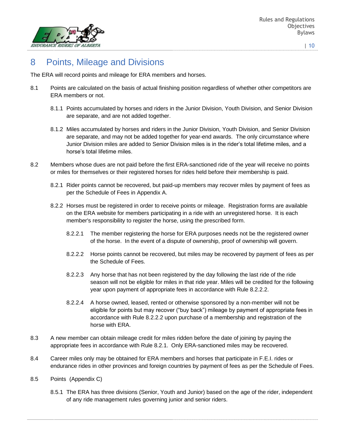

# 8 Points, Mileage and Divisions

The ERA will record points and mileage for ERA members and horses.

- 8.1 Points are calculated on the basis of actual finishing position regardless of whether other competitors are ERA members or not.
	- 8.1.1 Points accumulated by horses and riders in the Junior Division, Youth Division, and Senior Division are separate, and are not added together.
	- 8.1.2 Miles accumulated by horses and riders in the Junior Division, Youth Division, and Senior Division are separate, and may not be added together for year-end awards. The only circumstance where Junior Division miles are added to Senior Division miles is in the rider's total lifetime miles, and a horse's total lifetime miles.
- 8.2 Members whose dues are not paid before the first ERA-sanctioned ride of the year will receive no points or miles for themselves or their registered horses for rides held before their membership is paid.
	- 8.2.1 Rider points cannot be recovered, but paid-up members may recover miles by payment of fees as per the Schedule of Fees in Appendix A.
	- 8.2.2 Horses must be registered in order to receive points or mileage. Registration forms are available on the ERA website for members participating in a ride with an unregistered horse. It is each member's responsibility to register the horse, using the prescribed form.
		- 8.2.2.1 The member registering the horse for ERA purposes needs not be the registered owner of the horse. In the event of a dispute of ownership, proof of ownership will govern.
		- 8.2.2.2 Horse points cannot be recovered, but miles may be recovered by payment of fees as per the Schedule of Fees.
		- 8.2.2.3 Any horse that has not been registered by the day following the last ride of the ride season will not be eligible for miles in that ride year. Miles will be credited for the following year upon payment of appropriate fees in accordance with Rule 8.2.2.2.
		- 8.2.2.4 A horse owned, leased, rented or otherwise sponsored by a non-member will not be eligible for points but may recover ("buy back") mileage by payment of appropriate fees in accordance with Rule 8.2.2.2 upon purchase of a membership and registration of the horse with ERA.
- 8.3 A new member can obtain mileage credit for miles ridden before the date of joining by paying the appropriate fees in accordance with Rule 8.2.1. Only ERA-sanctioned miles may be recovered.
- 8.4 Career miles only may be obtained for ERA members and horses that participate in F.E.I. rides or endurance rides in other provinces and foreign countries by payment of fees as per the Schedule of Fees.
- 8.5 Points (Appendix C)
	- 8.5.1 The ERA has three divisions (Senior, Youth and Junior) based on the age of the rider, independent of any ride management rules governing junior and senior riders.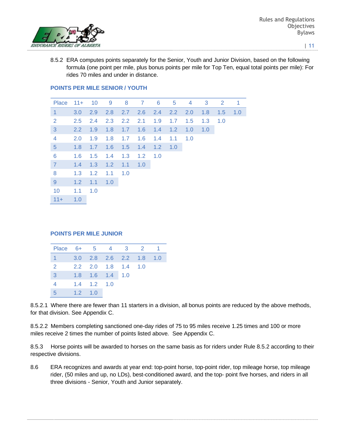

8.5.2 ERA computes points separately for the Senior, Youth and Junior Division, based on the following formula (one point per mile, plus bonus points per mile for Top Ten, equal total points per mile): For rides 70 miles and under in distance.

| Place          | $11+$ | 10            | - 9 | 8             | 7   | 6   | 5   | 4   | 3   | $\overline{2}$ | -1  |
|----------------|-------|---------------|-----|---------------|-----|-----|-----|-----|-----|----------------|-----|
| $\overline{1}$ | 3.0   | 2.9           | 2.8 | $2.7^{\circ}$ | 2.6 | 2.4 | 2.2 | 2.0 | 1.8 | 1.5            | 1.0 |
| 2              | 2.5   | $2.4^{\circ}$ | 2.3 | 2.2           | 2.1 | 1.9 | 1.7 | 1.5 | 1.3 | 1.0            |     |
| 3              | 2.2   | 1.9           | 1.8 | 1.7           | 1.6 | 1.4 | 1.2 | 1.0 | 1.0 |                |     |
| $\overline{4}$ | 2.0   | 1.9           | 1.8 | 1.7           | 1.6 | 1.4 | 1.1 | 1.0 |     |                |     |
| $\sqrt{5}$     | 1.8   | 1.7           | 1.6 | 1.5           | 1.4 | 1.2 | 1.0 |     |     |                |     |
| 6              | 1.6   | 1.5           | 1.4 | 1.3           | 1.2 | 1.0 |     |     |     |                |     |
| $\overline{7}$ | 1.4   | 1.3           | 1.2 | 1.1           | 1.0 |     |     |     |     |                |     |
| 8              | 1.3   | $1.2^{\circ}$ | 1.1 | 1.0           |     |     |     |     |     |                |     |
| 9              | 1.2   | 1.1           | 1.0 |               |     |     |     |     |     |                |     |
| 10             | 1.1   | 1.0           |     |               |     |     |     |     |     |                |     |
| $11+$          | 1.0   |               |     |               |     |     |     |     |     |                |     |

### **POINTS PER MILE SENIOR / YOUTH**

#### **POINTS PER MILE JUNIOR**

| Place 6+ 5 4 3 2 1     |                 |                         |                         |  |
|------------------------|-----------------|-------------------------|-------------------------|--|
| $1 \quad \blacksquare$ |                 |                         | 3.0 2.8 2.6 2.2 1.8 1.0 |  |
| <sup>2</sup>           |                 |                         | 2.2 2.0 1.8 1.4 1.0     |  |
| 3                      |                 | $1.8$ $1.6$ $1.4$ $1.0$ |                         |  |
| $\overline{4}$         |                 | $1.4$ $1.2$ $1.0$       |                         |  |
| -5                     | $1.2 \quad 1.0$ |                         |                         |  |

8.5.2.1 Where there are fewer than 11 starters in a division, all bonus points are reduced by the above methods, for that division. See Appendix C.

8.5.2.2 Members completing sanctioned one-day rides of 75 to 95 miles receive 1.25 times and 100 or more miles receive 2 times the number of points listed above. See Appendix C.

8.5.3 Horse points will be awarded to horses on the same basis as for riders under Rule 8.5.2 according to their respective divisions.

8.6 ERA recognizes and awards at year end: top-point horse, top-point rider, top mileage horse, top mileage rider, (50 miles and up, no LDs), best-conditioned award, and the top- point five horses, and riders in all three divisions - Senior, Youth and Junior separately.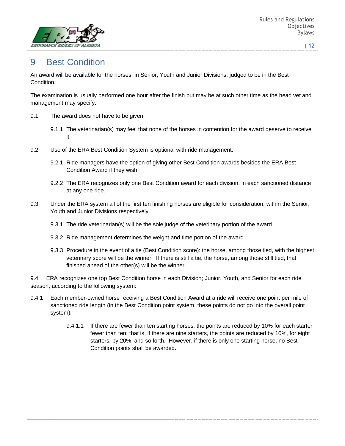

## 9 Best Condition

An award will be available for the horses, in Senior, Youth and Junior Divisions, judged to be in the Best Condition.

The examination is usually performed one hour after the finish but may be at such other time as the head vet and management may specify.

- 9.1 The award does not have to be given.
	- 9.1.1 The veterinarian(s) may feel that none of the horses in contention for the award deserve to receive it.
- 9.2 Use of the ERA Best Condition System is optional with ride management.
	- 9.2.1 Ride managers have the option of giving other Best Condition awards besides the ERA Best Condition Award if they wish.
	- 9.2.2 The ERA recognizes only one Best Condition award for each division, in each sanctioned distance at any one ride.
- 9.3 Under the ERA system all of the first ten finishing horses are eligible for consideration, within the Senior, Youth and Junior Divisions respectively.
	- 9.3.1 The ride veterinarian(s) will be the sole judge of the veterinary portion of the award.
	- 9.3.2 Ride management determines the weight and time portion of the award.
	- 9.3.3 Procedure in the event of a tie (Best Condition score): the horse, among those tied, with the highest veterinary score will be the winner. If there is still a tie, the horse, among those still tied, that finished ahead of the other(s) will be the winner.

9.4 ERA recognizes one top Best Condition horse in each Division; Junior, Youth, and Senior for each ride season, according to the following system:

- 9.4.1 Each member-owned horse receiving a Best Condition Award at a ride will receive one point per mile of sanctioned ride length (in the Best Condition point system, these points do not go into the overall point system).
	- 9.4.1.1 If there are fewer than ten starting horses, the points are reduced by 10% for each starter fewer than ten; that is, if there are nine starters, the points are reduced by 10%, for eight starters, by 20%, and so forth. However, if there is only one starting horse, no Best Condition points shall be awarded.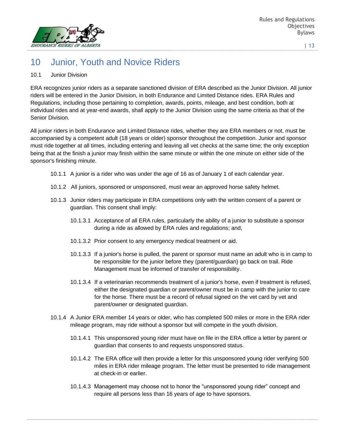

# 10 Junior, Youth and Novice Riders

### 10.1 Junior Division

ERA recognizes junior riders as a separate sanctioned division of ERA described as the Junior Division. All junior riders will be entered in the Junior Division, in both Endurance and Limited Distance rides. ERA Rules and Regulations, including those pertaining to completion, awards, points, mileage, and best condition, both at individual rides and at year-end awards, shall apply to the Junior Division using the same criteria as that of the Senior Division.

All junior riders in both Endurance and Limited Distance rides, whether they are ERA members or not, must be accompanied by a competent adult (18 years or older) sponsor throughout the competition. Junior and sponsor must ride together at all times, including entering and leaving all vet checks at the same time; the only exception being that at the finish a junior may finish within the same minute or within the one minute on either side of the sponsor's finishing minute.

- 10.1.1 A junior is a rider who was under the age of 16 as of January 1 of each calendar year.
- 10.1.2 All juniors, sponsored or unsponsored, must wear an approved horse safety helmet.
- 10.1.3 Junior riders may participate in ERA competitions only with the written consent of a parent or guardian. This consent shall imply:
	- 10.1.3.1 Acceptance of all ERA rules, particularly the ability of a junior to substitute a sponsor during a ride as allowed by ERA rules and regulations; and,
	- 10.1.3.2 Prior consent to any emergency medical treatment or aid.
	- 10.1.3.3 If a junior's horse is pulled, the parent or sponsor must name an adult who is in camp to be responsible for the junior before they (parent/guardian) go back on trail. Ride Management must be informed of transfer of responsibility.
	- 10.1.3.4 If a veterinarian recommends treatment of a junior's horse, even if treatment is refused, either the designated guardian or parent/owner must be in camp with the junior to care for the horse. There must be a record of refusal signed on the vet card by vet and parent/owner or designated guardian.
- 10.1.4 A Junior ERA member 14 years or older, who has completed 500 miles or more in the ERA rider mileage program, may ride without a sponsor but will compete in the youth division.
	- 10.1.4.1 This unsponsored young rider must have on file in the ERA office a letter by parent or guardian that consents to and requests unsponsored status.
	- 10.1.4.2 The ERA office will then provide a letter for this unsponsored young rider verifying 500 miles in ERA rider mileage program. The letter must be presented to ride management at check-in or earlier.
	- 10.1.4.3 Management may choose not to honor the "unsponsored young rider" concept and require all persons less than 16 years of age to have sponsors.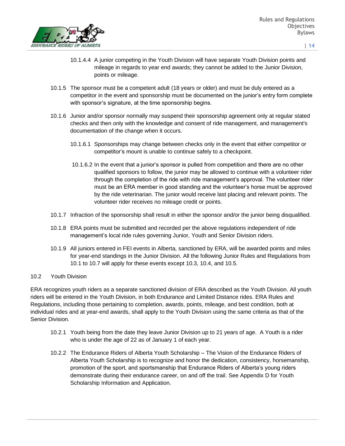

- 10.1.4.4 A junior competing in the Youth Division will have separate Youth Division points and mileage in regards to year end awards; they cannot be added to the Junior Division, points or mileage.
- 10.1.5 The sponsor must be a competent adult (18 years or older) and must be duly entered as a competitor in the event and sponsorship must be documented on the junior's entry form complete with sponsor's signature, at the time sponsorship begins.
- 10.1.6 Junior and/or sponsor normally may suspend their sponsorship agreement only at regular stated checks and then only with the knowledge and consent of ride management, and management's documentation of the change when it occurs.
	- 10.1.6.1 Sponsorships may change between checks only in the event that either competitor or competitor's mount is unable to continue safely to a checkpoint.
	- 10.1.6.2 In the event that a junior's sponsor is pulled from competition and there are no other qualified sponsors to follow, the junior may be allowed to continue with a volunteer rider through the completion of the ride with ride management's approval. The volunteer rider must be an ERA member in good standing and the volunteer's horse must be approved by the ride veterinarian. The junior would receive last placing and relevant points. The volunteer rider receives no mileage credit or points.
- 10.1.7 Infraction of the sponsorship shall result in either the sponsor and/or the junior being disqualified.
- 10.1.8 ERA points must be submitted and recorded per the above regulations independent of ride management's local ride rules governing Junior, Youth and Senior Division riders.
- 10.1.9 All juniors entered in FEI events in Alberta, sanctioned by ERA, will be awarded points and miles for year-end standings in the Junior Division. All the following Junior Rules and Regulations from 10.1 to 10.7 will apply for these events except 10.3, 10.4, and 10.5.

### 10.2 Youth Division

ERA recognizes youth riders as a separate sanctioned division of ERA described as the Youth Division. All youth riders will be entered in the Youth Division, in both Endurance and Limited Distance rides. ERA Rules and Regulations, including those pertaining to completion, awards, points, mileage, and best condition, both at individual rides and at year-end awards, shall apply to the Youth Division using the same criteria as that of the Senior Division.

- 10.2.1 Youth being from the date they leave Junior Division up to 21 years of age. A Youth is a rider who is under the age of 22 as of January 1 of each year.
- 10.2.2 The Endurance Riders of Alberta Youth Scholarship The Vision of the Endurance Riders of Alberta Youth Scholarship is to recognize and honor the dedication, consistency, horsemanship, promotion of the sport, and sportsmanship that Endurance Riders of Alberta's young riders demonstrate during their endurance career, on and off the trail. See Appendix D for Youth Scholarship Information and Application.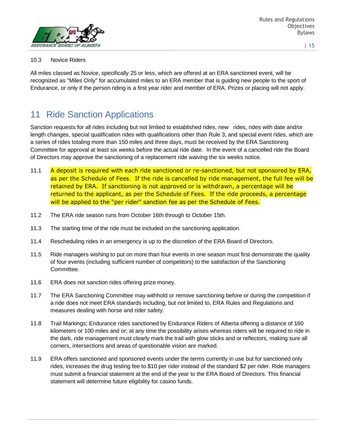

### 10.3 Novice Riders

All miles classed as Novice, specifically 25 or less, which are offered at an ERA sanctioned event, will be recognized as "Miles Only" for accumulated miles to an ERA member that is guiding new people to the sport of Endurance, or only if the person riding is a first year rider and member of ERA. Prizes or placing will not apply.

## 11 Ride Sanction Applications

Sanction requests for all rides including but not limited to established rides, new rides, rides with date and/or length changes, special qualification rides with qualifications other than Rule 3, and special event rides, which are a series of rides totaling more than 150 miles and three days, must be received by the ERA Sanctioning Committee for approval at least six weeks before the actual ride date. In the event of a cancelled ride the Board of Directors may approve the sanctioning of a replacement ride waiving the six weeks notice.

- 11.1 A deposit is required with each ride sanctioned or re-sanctioned, but not sponsored by ERA, as per the Schedule of Fees. If the ride is cancelled by ride management, the full fee will be retained by ERA. If sanctioning is not approved or is withdrawn, a percentage will be returned to the applicant, as per the Schedule of Fees. If the ride proceeds, a percentage will be applied to the "per rider" sanction fee as per the Schedule of Fees.
- 11.2 The ERA ride season runs from October 16th through to October 15th.
- 11.3 The starting time of the ride must be included on the sanctioning application.
- 11.4 Rescheduling rides in an emergency is up to the discretion of the ERA Board of Directors.
- 11.5 Ride managers wishing to put on more than four events in one season must first demonstrate the quality of four events (including sufficient number of competitors) to the satisfaction of the Sanctioning Committee.
- 11.6 ERA does not sanction rides offering prize money.
- 11.7 The ERA Sanctioning Committee may withhold or remove sanctioning before or during the competition if a ride does not meet ERA standards including, but not limited to, ERA Rules and Regulations and measures dealing with horse and rider safety.
- 11.8 Trail Markings; Endurance rides sanctioned by Endurance Riders of Alberta offering a distance of 160 kilometers or 100 miles and or; at any time the possibility arises whereas riders will be required to ride in the dark, ride management must clearly mark the trail with glow sticks and or reflectors, making sure all corners, intersections and areas of questionable vision are marked.
- 11.9 ERA offers sanctioned and sponsored events under the terms currently in use but for sanctioned only rides, increases the drug testing fee to \$10 per rider instead of the standard \$2 per rider. Ride managers must submit a financial statement at the end of the year to the ERA Board of Directors. This financial statement will determine future eligibility for casino funds.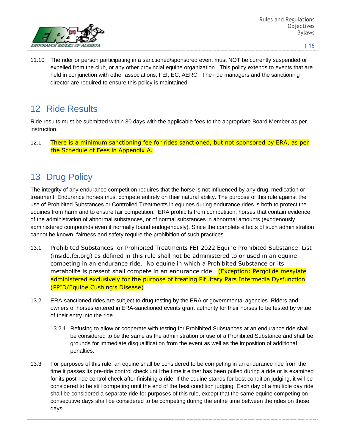

11.10 The rider or person participating in a sanctioned/sponsored event must NOT be currently suspended or expelled from the club, or any other provincial equine organization. This policy extends to events that are held in conjunction with other associations, FEI, EC, AERC. The ride managers and the sanctioning director are required to ensure this policy is maintained.

# 12 Ride Results

Ride results must be submitted within 30 days with the applicable fees to the appropriate Board Member as per instruction.

12.1 There is a minimum sanctioning fee for rides sanctioned, but not sponsored by ERA, as per the Schedule of Fees in Appendix A.

# 13 Drug Policy

The integrity of any endurance competition requires that the horse is not influenced by any drug, medication or treatment. Endurance horses must compete entirely on their natural ability. The purpose of this rule against the use of Prohibited Substances or Controlled Treatments in equines during endurance rides is both to protect the equines from harm and to ensure fair competition. ERA prohibits from competition, horses that contain evidence of the administration of abnormal substances, or of normal substances in abnormal amounts (exogenously administered compounds even if normally found endogenously). Since the complete effects of such administration cannot be known, fairness and safety require the prohibition of such practices.

- 13.1 Prohibited Substances or Prohibited Treatments FEI 2022 Equine Prohibited Substance List (inside.fei.org) as defined in this rule shall not be administered to or used in an equine competing in an endurance ride. No equine in which a Prohibited Substance or its metabolite is present shall compete in an endurance ride. (Exception: Pergolide mesylate administered exclusively for the purpose of treating Pituitary Pars Intermedia Dysfunction (PPID/Equine Cushing's Disease)
- 13.2 ERA-sanctioned rides are subject to drug testing by the ERA or governmental agencies. Riders and owners of horses entered in ERA-sanctioned events grant authority for their horses to be tested by virtue of their entry into the ride.
	- 13.2.1 Refusing to allow or cooperate with testing for Prohibited Substances at an endurance ride shall be considered to be the same as the administration or use of a Prohibited Substance and shall be grounds for immediate disqualification from the event as well as the imposition of additional penalties.
- 13.3 For purposes of this rule, an equine shall be considered to be competing in an endurance ride from the time it passes its pre-ride control check until the time it either has been pulled during a ride or is examined for its post-ride control check after finishing a ride. If the equine stands for best condition judging, it will be considered to be still competing until the end of the best condition judging. Each day of a multiple day ride shall be considered a separate ride for purposes of this rule, except that the same equine competing on consecutive days shall be considered to be competing during the entire time between the rides on those days.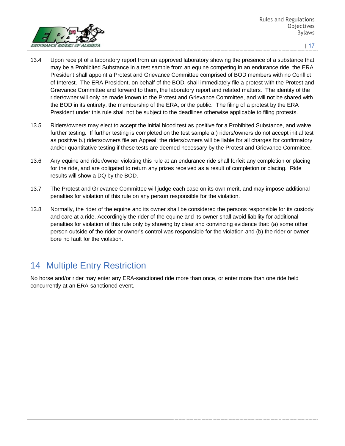

- 13.4 Upon receipt of a laboratory report from an approved laboratory showing the presence of a substance that may be a Prohibited Substance in a test sample from an equine competing in an endurance ride, the ERA President shall appoint a Protest and Grievance Committee comprised of BOD members with no Conflict of Interest. The ERA President, on behalf of the BOD, shall immediately file a protest with the Protest and Grievance Committee and forward to them, the laboratory report and related matters. The identity of the rider/owner will only be made known to the Protest and Grievance Committee, and will not be shared with the BOD in its entirety, the membership of the ERA, or the public. The filing of a protest by the ERA President under this rule shall not be subject to the deadlines otherwise applicable to filing protests.
- 13.5 Riders/owners may elect to accept the initial blood test as positive for a Prohibited Substance, and waive further testing. If further testing is completed on the test sample a.) riders/owners do not accept initial test as positive b.) riders/owners file an Appeal; the riders/owners will be liable for all charges for confirmatory and/or quantitative testing if these tests are deemed necessary by the Protest and Grievance Committee.
- 13.6 Any equine and rider/owner violating this rule at an endurance ride shall forfeit any completion or placing for the ride, and are obligated to return any prizes received as a result of completion or placing. Ride results will show a DQ by the BOD.
- 13.7 The Protest and Grievance Committee will judge each case on its own merit, and may impose additional penalties for violation of this rule on any person responsible for the violation.
- 13.8 Normally, the rider of the equine and its owner shall be considered the persons responsible for its custody and care at a ride. Accordingly the rider of the equine and its owner shall avoid liability for additional penalties for violation of this rule only by showing by clear and convincing evidence that: (a) some other person outside of the rider or owner's control was responsible for the violation and (b) the rider or owner bore no fault for the violation.

# 14 Multiple Entry Restriction

No horse and/or rider may enter any ERA-sanctioned ride more than once, or enter more than one ride held concurrently at an ERA-sanctioned event.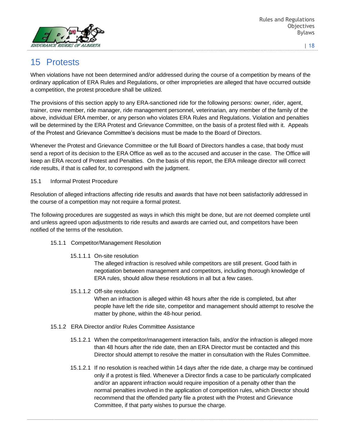

# 15 Protests

When violations have not been determined and/or addressed during the course of a competition by means of the ordinary application of ERA Rules and Regulations, or other improprieties are alleged that have occurred outside a competition, the protest procedure shall be utilized.

The provisions of this section apply to any ERA-sanctioned ride for the following persons: owner, rider, agent, trainer, crew member, ride manager, ride management personnel, veterinarian, any member of the family of the above, individual ERA member, or any person who violates ERA Rules and Regulations. Violation and penalties will be determined by the ERA Protest and Grievance Committee, on the basis of a protest filed with it. Appeals of the Protest and Grievance Committee's decisions must be made to the Board of Directors.

Whenever the Protest and Grievance Committee or the full Board of Directors handles a case, that body must send a report of its decision to the ERA Office as well as to the accused and accuser in the case. The Office will keep an ERA record of Protest and Penalties. On the basis of this report, the ERA mileage director will correct ride results, if that is called for, to correspond with the judgment.

### 15.1 Informal Protest Procedure

Resolution of alleged infractions affecting ride results and awards that have not been satisfactorily addressed in the course of a competition may not require a formal protest.

The following procedures are suggested as ways in which this might be done, but are not deemed complete until and unless agreed upon adjustments to ride results and awards are carried out, and competitors have been notified of the terms of the resolution.

### 15.1.1 Competitor/Management Resolution

15.1.1.1 On-site resolution

The alleged infraction is resolved while competitors are still present. Good faith in negotiation between management and competitors, including thorough knowledge of ERA rules, should allow these resolutions in all but a few cases.

### 15.1.1.2 Off-site resolution

When an infraction is alleged within 48 hours after the ride is completed, but after people have left the ride site, competitor and management should attempt to resolve the matter by phone, within the 48-hour period.

- 15.1.2 ERA Director and/or Rules Committee Assistance
	- 15.1.2.1 When the competitor/management interaction fails, and/or the infraction is alleged more than 48 hours after the ride date, then an ERA Director must be contacted and this Director should attempt to resolve the matter in consultation with the Rules Committee.
	- 15.1.2.1 If no resolution is reached within 14 days after the ride date, a charge may be continued only if a protest is filed. Whenever a Director finds a case to be particularly complicated and/or an apparent infraction would require imposition of a penalty other than the normal penalties involved in the application of competition rules, which Director should recommend that the offended party file a protest with the Protest and Grievance Committee, if that party wishes to pursue the charge.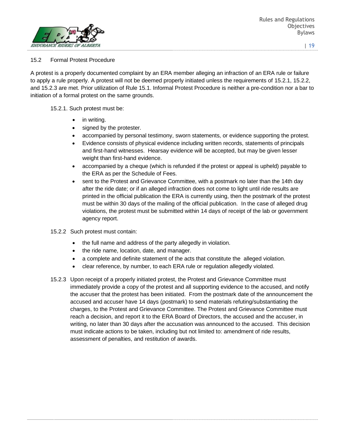

### 15.2 Formal Protest Procedure

A protest is a properly documented complaint by an ERA member alleging an infraction of an ERA rule or failure to apply a rule properly. A protest will not be deemed properly initiated unless the requirements of 15.2.1, 15.2.2, and 15.2.3 are met. Prior utilization of Rule 15.1. Informal Protest Procedure is neither a pre-condition nor a bar to initiation of a formal protest on the same grounds.

### 15.2.1. Such protest must be:

- in writing.
- signed by the protester.
- accompanied by personal testimony, sworn statements, or evidence supporting the protest.
- Evidence consists of physical evidence including written records, statements of principals and first-hand witnesses. Hearsay evidence will be accepted, but may be given lesser weight than first-hand evidence.
- accompanied by a cheque (which is refunded if the protest or appeal is upheld) payable to the ERA as per the Schedule of Fees.
- sent to the Protest and Grievance Committee, with a postmark no later than the 14th day after the ride date; or if an alleged infraction does not come to light until ride results are printed in the official publication the ERA is currently using, then the postmark of the protest must be within 30 days of the mailing of the official publication. In the case of alleged drug violations, the protest must be submitted within 14 days of receipt of the lab or government agency report.
- 15.2.2 Such protest must contain:
	- the full name and address of the party allegedly in violation.
	- the ride name, location, date, and manager.
	- a complete and definite statement of the acts that constitute the alleged violation.
	- clear reference, by number, to each ERA rule or regulation allegedly violated.
- 15.2.3 Upon receipt of a properly initiated protest, the Protest and Grievance Committee must immediately provide a copy of the protest and all supporting evidence to the accused, and notify the accuser that the protest has been initiated. From the postmark date of the announcement the accused and accuser have 14 days (postmark) to send materials refuting/substantiating the charges, to the Protest and Grievance Committee. The Protest and Grievance Committee must reach a decision, and report it to the ERA Board of Directors, the accused and the accuser, in writing, no later than 30 days after the accusation was announced to the accused. This decision must indicate actions to be taken, including but not limited to: amendment of ride results, assessment of penalties, and restitution of awards.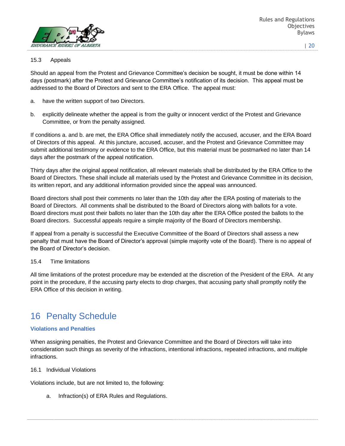

Rules and Regulations **Objectives** Bylaws

#### | 20

### 15.3 Appeals

Should an appeal from the Protest and Grievance Committee's decision be sought, it must be done within 14 days (postmark) after the Protest and Grievance Committee's notification of its decision. This appeal must be addressed to the Board of Directors and sent to the ERA Office. The appeal must:

- a. have the written support of two Directors.
- b. explicitly delineate whether the appeal is from the guilty or innocent verdict of the Protest and Grievance Committee, or from the penalty assigned.

If conditions a. and b. are met, the ERA Office shall immediately notify the accused, accuser, and the ERA Board of Directors of this appeal. At this juncture, accused, accuser, and the Protest and Grievance Committee may submit additional testimony or evidence to the ERA Office, but this material must be postmarked no later than 14 days after the postmark of the appeal notification.

Thirty days after the original appeal notification, all relevant materials shall be distributed by the ERA Office to the Board of Directors. These shall include all materials used by the Protest and Grievance Committee in its decision, its written report, and any additional information provided since the appeal was announced.

Board directors shall post their comments no later than the 10th day after the ERA posting of materials to the Board of Directors. All comments shall be distributed to the Board of Directors along with ballots for a vote. Board directors must post their ballots no later than the 10th day after the ERA Office posted the ballots to the Board directors. Successful appeals require a simple majority of the Board of Directors membership.

If appeal from a penalty is successful the Executive Committee of the Board of Directors shall assess a new penalty that must have the Board of Director's approval (simple majority vote of the Board). There is no appeal of the Board of Director's decision.

### 15.4 Time limitations

All time limitations of the protest procedure may be extended at the discretion of the President of the ERA. At any point in the procedure, if the accusing party elects to drop charges, that accusing party shall promptly notify the ERA Office of this decision in writing.

### 16 Penalty Schedule

### **Violations and Penalties**

When assigning penalties, the Protest and Grievance Committee and the Board of Directors will take into consideration such things as severity of the infractions, intentional infractions, repeated infractions, and multiple infractions.

16.1 Individual Violations

Violations include, but are not limited to, the following:

a. Infraction(s) of ERA Rules and Regulations.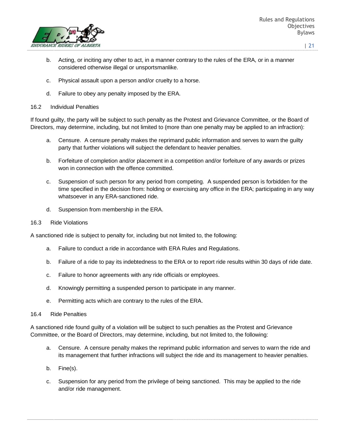

- b. Acting, or inciting any other to act, in a manner contrary to the rules of the ERA, or in a manner considered otherwise illegal or unsportsmanlike.
- c. Physical assault upon a person and/or cruelty to a horse.
- d. Failure to obey any penalty imposed by the ERA.
- 16.2 Individual Penalties

If found guilty, the party will be subject to such penalty as the Protest and Grievance Committee, or the Board of Directors, may determine, including, but not limited to (more than one penalty may be applied to an infraction):

- a. Censure. A censure penalty makes the reprimand public information and serves to warn the guilty party that further violations will subject the defendant to heavier penalties.
- b. Forfeiture of completion and/or placement in a competition and/or forfeiture of any awards or prizes won in connection with the offence committed.
- c. Suspension of such person for any period from competing. A suspended person is forbidden for the time specified in the decision from: holding or exercising any office in the ERA; participating in any way whatsoever in any ERA-sanctioned ride.
- d. Suspension from membership in the ERA.
- 16.3 Ride Violations

A sanctioned ride is subject to penalty for, including but not limited to, the following:

- a. Failure to conduct a ride in accordance with ERA Rules and Regulations.
- b. Failure of a ride to pay its indebtedness to the ERA or to report ride results within 30 days of ride date.
- c. Failure to honor agreements with any ride officials or employees.
- d. Knowingly permitting a suspended person to participate in any manner.
- e. Permitting acts which are contrary to the rules of the ERA.
- 16.4 Ride Penalties

A sanctioned ride found guilty of a violation will be subject to such penalties as the Protest and Grievance Committee, or the Board of Directors, may determine, including, but not limited to, the following:

- a. Censure. A censure penalty makes the reprimand public information and serves to warn the ride and its management that further infractions will subject the ride and its management to heavier penalties.
- b. Fine(s).
- c. Suspension for any period from the privilege of being sanctioned. This may be applied to the ride and/or ride management.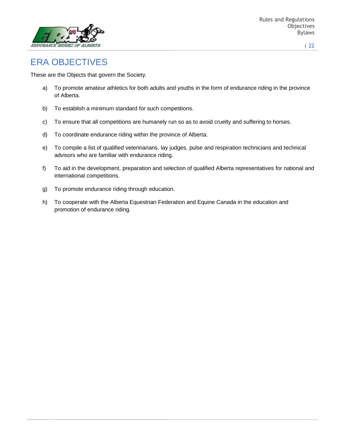

# ERA OBJECTIVES

These are the Objects that govern the Society.

- a) To promote amateur athletics for both adults and youths in the form of endurance riding in the province of Alberta.
- b) To establish a minimum standard for such competitions.
- c) To ensure that all competitions are humanely run so as to avoid cruelty and suffering to horses.
- d) To coordinate endurance riding within the province of Alberta.
- e) To compile a list of qualified veterinarians, lay judges, pulse and respiration technicians and technical advisors who are familiar with endurance riding.
- f) To aid in the development, preparation and selection of qualified Alberta representatives for national and international competitions.
- g) To promote endurance riding through education.
- h) To cooperate with the Alberta Equestrian Federation and Equine Canada in the education and promotion of endurance riding.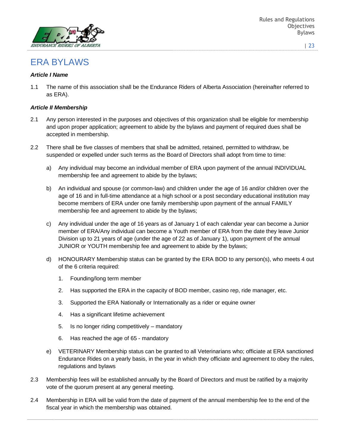

# ERA BYLAWS

### *Article I Name*

1.1 The name of this association shall be the Endurance Riders of Alberta Association (hereinafter referred to as ERA).

#### *Article II Membership*

- 2.1 Any person interested in the purposes and objectives of this organization shall be eligible for membership and upon proper application; agreement to abide by the bylaws and payment of required dues shall be accepted in membership.
- 2.2 There shall be five classes of members that shall be admitted, retained, permitted to withdraw, be suspended or expelled under such terms as the Board of Directors shall adopt from time to time:
	- a) Any individual may become an individual member of ERA upon payment of the annual INDIVIDUAL membership fee and agreement to abide by the bylaws;
	- b) An individual and spouse (or common-law) and children under the age of 16 and/or children over the age of 16 and in full-time attendance at a high school or a post secondary educational institution may become members of ERA under one family membership upon payment of the annual FAMILY membership fee and agreement to abide by the bylaws;
	- c) Any individual under the age of 16 years as of January 1 of each calendar year can become a Junior member of ERA/Any individual can become a Youth member of ERA from the date they leave Junior Division up to 21 years of age (under the age of 22 as of January 1), upon payment of the annual JUNIOR or YOUTH membership fee and agreement to abide by the bylaws;
	- d) HONOURARY Membership status can be granted by the ERA BOD to any person(s), who meets 4 out of the 6 criteria required:
		- 1. Founding/long term member
		- 2. Has supported the ERA in the capacity of BOD member, casino rep, ride manager, etc.
		- 3. Supported the ERA Nationally or Internationally as a rider or equine owner
		- 4. Has a significant lifetime achievement
		- 5. Is no longer riding competitively mandatory
		- 6. Has reached the age of 65 mandatory
	- e) VETERINARY Membership status can be granted to all Veterinarians who; officiate at ERA sanctioned Endurance Rides on a yearly basis, in the year in which they officiate and agreement to obey the rules, regulations and bylaws
- 2.3 Membership fees will be established annually by the Board of Directors and must be ratified by a majority vote of the quorum present at any general meeting.
- 2.4 Membership in ERA will be valid from the date of payment of the annual membership fee to the end of the fiscal year in which the membership was obtained.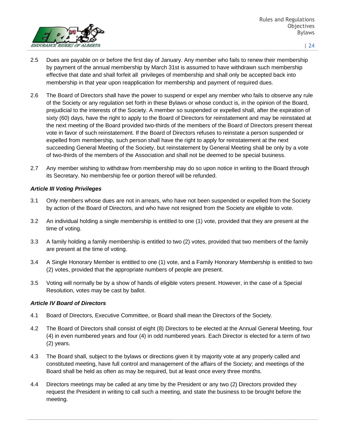

- 2.5 Dues are payable on or before the first day of January. Any member who fails to renew their membership by payment of the annual membership by March 31st is assumed to have withdrawn such membership effective that date and shall forfeit all privileges of membership and shall only be accepted back into membership in that year upon reapplication for membership and payment of required dues.
- 2.6 The Board of Directors shall have the power to suspend or expel any member who fails to observe any rule of the Society or any regulation set forth in these Bylaws or whose conduct is, in the opinion of the Board, prejudicial to the interests of the Society. A member so suspended or expelled shall, after the expiration of sixty (60) days, have the right to apply to the Board of Directors for reinstatement and may be reinstated at the next meeting of the Board provided two-thirds of the members of the Board of Directors present thereat vote in favor of such reinstatement. If the Board of Directors refuses to reinstate a person suspended or expelled from membership, such person shall have the right to apply for reinstatement at the next succeeding General Meeting of the Society, but reinstatement by General Meeting shall be only by a vote of two-thirds of the members of the Association and shall not be deemed to be special business.
- 2.7 Any member wishing to withdraw from membership may do so upon notice in writing to the Board through its Secretary. No membership fee or portion thereof will be refunded.

### *Article III Voting Privileges*

- 3.1 Only members whose dues are not in arrears, who have not been suspended or expelled from the Society by action of the Board of Directors, and who have not resigned from the Society are eligible to vote.
- 3.2 An individual holding a single membership is entitled to one (1) vote, provided that they are present at the time of voting.
- 3.3 A family holding a family membership is entitled to two (2) votes, provided that two members of the family are present at the time of voting.
- 3.4 A Single Honorary Member is entitled to one (1) vote, and a Family Honorary Membership is entitled to two (2) votes, provided that the appropriate numbers of people are present.
- 3.5 Voting will normally be by a show of hands of eligible voters present. However, in the case of a Special Resolution, votes may be cast by ballot.

### *Article IV Board of Directors*

- 4.1 Board of Directors, Executive Committee, or Board shall mean the Directors of the Society.
- 4.2 The Board of Directors shall consist of eight (8) Directors to be elected at the Annual General Meeting, four (4) in even numbered years and four (4) in odd numbered years. Each Director is elected for a term of two (2) years.
- 4.3 The Board shall, subject to the bylaws or directions given it by majority vote at any properly called and constituted meeting, have full control and management of the affairs of the Society; and meetings of the Board shall be held as often as may be required, but at least once every three months.
- 4.4 Directors meetings may be called at any time by the President or any two (2) Directors provided they request the President in writing to call such a meeting, and state the business to be brought before the meeting.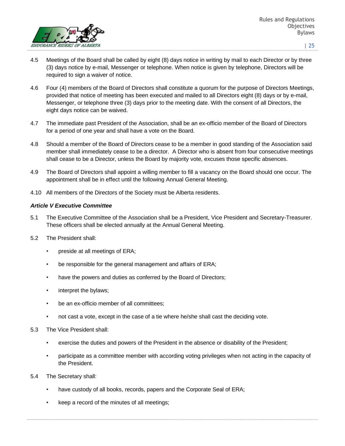

- 4.5 Meetings of the Board shall be called by eight (8) days notice in writing by mail to each Director or by three (3) days notice by e-mail, Messenger or telephone. When notice is given by telephone, Directors will be required to sign a waiver of notice.
- 4.6 Four (4) members of the Board of Directors shall constitute a quorum for the purpose of Directors Meetings, provided that notice of meeting has been executed and mailed to all Directors eight (8) days or by e-mail, Messenger, or telephone three (3) days prior to the meeting date. With the consent of all Directors, the eight days notice can be waived.
- 4.7 The immediate past President of the Association, shall be an ex-officio member of the Board of Directors for a period of one year and shall have a vote on the Board.
- 4.8 Should a member of the Board of Directors cease to be a member in good standing of the Association said member shall immediately cease to be a director. A Director who is absent from four consecutive meetings shall cease to be a Director, unless the Board by majority vote, excuses those specific absences.
- 4.9 The Board of Directors shall appoint a willing member to fill a vacancy on the Board should one occur. The appointment shall be in effect until the following Annual General Meeting.
- 4.10 All members of the Directors of the Society must be Alberta residents.

### *Article V Executive Committee*

- 5.1 The Executive Committee of the Association shall be a President, Vice President and Secretary-Treasurer. These officers shall be elected annually at the Annual General Meeting.
- 5.2 The President shall:
	- preside at all meetings of ERA;
	- be responsible for the general management and affairs of ERA;
	- have the powers and duties as conferred by the Board of Directors;
	- interpret the bylaws;
	- be an ex-officio member of all committees;
	- not cast a vote, except in the case of a tie where he/she shall cast the deciding vote.
- 5.3 The Vice President shall:
	- exercise the duties and powers of the President in the absence or disability of the President;
	- participate as a committee member with according voting privileges when not acting in the capacity of the President.
- 5.4 The Secretary shall:
	- have custody of all books, records, papers and the Corporate Seal of ERA;
	- keep a record of the minutes of all meetings;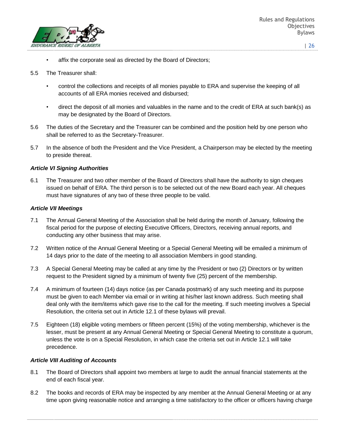

affix the corporate seal as directed by the Board of Directors;

#### 5.5 The Treasurer shall:

- control the collections and receipts of all monies payable to ERA and supervise the keeping of all accounts of all ERA monies received and disbursed;
- direct the deposit of all monies and valuables in the name and to the credit of ERA at such bank(s) as may be designated by the Board of Directors.
- 5.6 The duties of the Secretary and the Treasurer can be combined and the position held by one person who shall be referred to as the Secretary-Treasurer.
- 5.7 In the absence of both the President and the Vice President, a Chairperson may be elected by the meeting to preside thereat.

#### *Article VI Signing Authorities*

6.1 The Treasurer and two other member of the Board of Directors shall have the authority to sign cheques issued on behalf of ERA. The third person is to be selected out of the new Board each year. All cheques must have signatures of any two of these three people to be valid.

#### *Article VII Meetings*

- 7.1 The Annual General Meeting of the Association shall be held during the month of January, following the fiscal period for the purpose of electing Executive Officers, Directors, receiving annual reports, and conducting any other business that may arise.
- 7.2 Written notice of the Annual General Meeting or a Special General Meeting will be emailed a minimum of 14 days prior to the date of the meeting to all association Members in good standing.
- 7.3 A Special General Meeting may be called at any time by the President or two (2) Directors or by written request to the President signed by a minimum of twenty five (25) percent of the membership.
- 7.4 A minimum of fourteen (14) days notice (as per Canada postmark) of any such meeting and its purpose must be given to each Member via email or in writing at his/her last known address. Such meeting shall deal only with the item/items which gave rise to the call for the meeting. If such meeting involves a Special Resolution, the criteria set out in Article 12.1 of these bylaws will prevail.
- 7.5 Eighteen (18) eligible voting members or fifteen percent (15%) of the voting membership, whichever is the lesser, must be present at any Annual General Meeting or Special General Meeting to constitute a quorum, unless the vote is on a Special Resolution, in which case the criteria set out in Article 12.1 will take precedence.

#### *Article VIII Auditing of Accounts*

- 8.1 The Board of Directors shall appoint two members at large to audit the annual financial statements at the end of each fiscal year.
- 8.2 The books and records of ERA may be inspected by any member at the Annual General Meeting or at any time upon giving reasonable notice and arranging a time satisfactory to the officer or officers having charge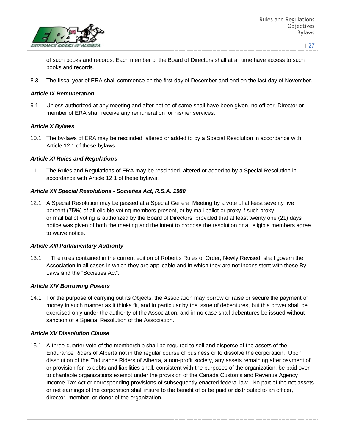

of such books and records. Each member of the Board of Directors shall at all time have access to such books and records.

8.3 The fiscal year of ERA shall commence on the first day of December and end on the last day of November.

#### *Article IX Remuneration*

9.1 Unless authorized at any meeting and after notice of same shall have been given, no officer, Director or member of ERA shall receive any remuneration for his/her services.

#### *Article X Bylaws*

10.1 The by-laws of ERA may be rescinded, altered or added to by a Special Resolution in accordance with Article 12.1 of these bylaws.

#### *Article XI Rules and Regulations*

11.1 The Rules and Regulations of ERA may be rescinded, altered or added to by a Special Resolution in accordance with Article 12.1 of these bylaws.

#### *Article XII Special Resolutions - Societies Act, R.S.A. 1980*

12.1 A Special Resolution may be passed at a Special General Meeting by a vote of at least seventy five percent (75%) of all eligible voting members present, or by mail ballot or proxy if such proxy or mail ballot voting is authorized by the Board of Directors, provided that at least twenty one (21) days notice was given of both the meeting and the intent to propose the resolution or all eligible members agree to waive notice.

#### *Article XIII Parliamentary Authority*

13.1 The rules contained in the current edition of Robert's Rules of Order, Newly Revised, shall govern the Association in all cases in which they are applicable and in which they are not inconsistent with these By-Laws and the "Societies Act".

#### *Article XIV Borrowing Powers*

14.1 For the purpose of carrying out its Objects, the Association may borrow or raise or secure the payment of money in such manner as it thinks fit, and in particular by the issue of debentures, but this power shall be exercised only under the authority of the Association, and in no case shall debentures be issued without sanction of a Special Resolution of the Association.

### *Article XV Dissolution Clause*

15.1 A three-quarter vote of the membership shall be required to sell and disperse of the assets of the Endurance Riders of Alberta not in the regular course of business or to dissolve the corporation. Upon dissolution of the Endurance Riders of Alberta, a non-profit society, any assets remaining after payment of or provision for its debts and liabilities shall, consistent with the purposes of the organization, be paid over to charitable organizations exempt under the provision of the Canada Customs and Revenue Agency Income Tax Act or corresponding provisions of subsequently enacted federal law. No part of the net assets or net earnings of the corporation shall insure to the benefit of or be paid or distributed to an officer, director, member, or donor of the organization.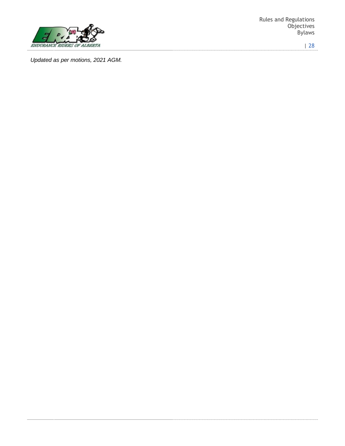

Rules and Regulations **Objectives** Bylaws

| 28

*Updated as per motions, 2021 AGM.*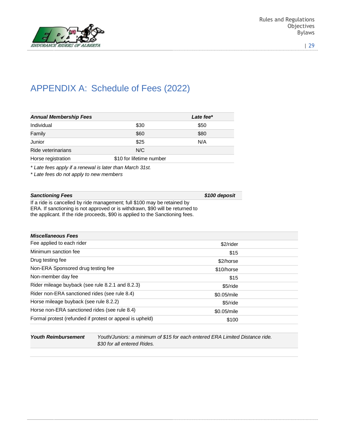

# APPENDIX A: Schedule of Fees (2022)

| <b>Annual Membership Fees</b> |                          | Late fee* |  |
|-------------------------------|--------------------------|-----------|--|
| Individual                    | \$30                     | \$50      |  |
| Family                        | \$60                     | \$80      |  |
| Junior                        | \$25                     | N/A       |  |
| Ride veterinarians            | N/C                      |           |  |
| Horse registration            | \$10 for lifetime number |           |  |
|                               |                          |           |  |

*\* Late fees apply if a renewal is later than March 31st.*

*\* Late fees do not apply to new members*

### **Sanctioning Fees** *\$100 deposit*

If a ride is cancelled by ride management; full \$100 may be retained by ERA. If sanctioning is not approved or is withdrawn, \$90 will be returned to the applicant. If the ride proceeds, \$90 is applied to the Sanctioning fees.

| <b>Miscellaneous Fees</b>                                |             |  |
|----------------------------------------------------------|-------------|--|
| Fee applied to each rider                                | \$2/rider   |  |
| Minimum sanction fee                                     | \$15        |  |
| Drug testing fee                                         | \$2/horse   |  |
| Non-ERA Sponsored drug testing fee                       | \$10/horse  |  |
| Non-member day fee                                       | \$15        |  |
| Rider mileage buyback (see rule 8.2.1 and 8.2.3)         | \$5/ride    |  |
| Rider non-ERA sanctioned rides (see rule 8.4)            | \$0.05/mile |  |
| Horse mileage buyback (see rule 8.2.2)                   | \$5/ride    |  |
| Horse non-ERA sanctioned rides (see rule 8.4)            | \$0.05/mile |  |
| Formal protest (refunded if protest or appeal is upheld) | \$100       |  |
|                                                          |             |  |

*Youth Reimbursement Youth/Juniors: a minimum of \$15 for each entered ERA Limited Distance ride. \$30 for all entered Rides.*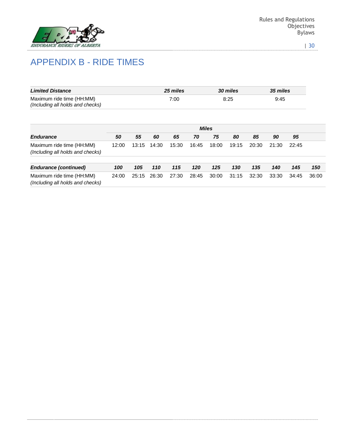

# APPENDIX B - RIDE TIMES

| <b>Limited Distance</b>                                       | 25 miles | <b>30 miles</b> | <b>35 miles</b> |
|---------------------------------------------------------------|----------|-----------------|-----------------|
| Maximum ride time (HH:MM)<br>(Including all holds and checks) | 7:00     | 8:25            | 9:45            |

|                                                               | <b>Miles</b> |       |       |       |       |       |       |       |       |       |       |
|---------------------------------------------------------------|--------------|-------|-------|-------|-------|-------|-------|-------|-------|-------|-------|
| <b>Endurance</b>                                              | 50           | 55    | 60    | 65    | 70    | 75    | 80    | 85    | 90    | 95    |       |
| Maximum ride time (HH:MM)<br>(Including all holds and checks) | 12:00        | 13:15 | 14:30 | 15:30 | 16:45 | 18:00 | 19:15 | 20:30 | 21:30 | 22:45 |       |
| <b>Endurance (continued)</b>                                  | 100          | 105   | 110   | 115   | 120   | 125   | 130   | 135   | 140   | 145   | 150   |
| Maximum ride time (HH:MM)<br>(Including all holds and checks) | 24:00        | 25:15 | 26:30 | 27:30 | 28:45 | 30:00 | 31:15 | 32:30 | 33:30 | 34:45 | 36:00 |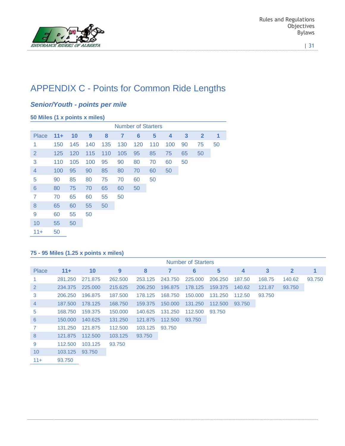

# APPENDIX C - Points for Common Ride Lengths

### *Senior/Youth - points per mile*

|                |        |     |     |     |     | <b>Number of Starters</b> |     |     |    |                |    |
|----------------|--------|-----|-----|-----|-----|---------------------------|-----|-----|----|----------------|----|
| <b>Place</b>   | $11 +$ | 10  | 9   | 8   | 7   | 6                         | 5   | 4   | 3  | $\overline{2}$ | 1  |
| 1              | 150    | 145 | 140 | 135 | 130 | 120                       | 110 | 100 | 90 | 75             | 50 |
| $\overline{2}$ | 125    | 120 | 115 | 110 | 105 | 95                        | 85  | 75  | 65 | 50             |    |
| 3              | 110    | 105 | 100 | 95  | 90  | 80                        | 70  | 60  | 50 |                |    |
| 4              | 100    | 95  | 90  | 85  | 80  | 70                        | 60  | 50  |    |                |    |
| 5              | 90     | 85  | 80  | 75  | 70  | 60                        | 50  |     |    |                |    |
| 6              | 80     | 75  | 70  | 65  | 60  | 50                        |     |     |    |                |    |
| 7              | 70     | 65  | 60  | 55  | 50  |                           |     |     |    |                |    |
| 8              | 65     | 60  | 55  | 50  |     |                           |     |     |    |                |    |
| 9              | 60     | 55  | 50  |     |     |                           |     |     |    |                |    |
| 10             | 55     | 50  |     |     |     |                           |     |     |    |                |    |
| $11+$          | 50     |     |     |     |     |                           |     |     |    |                |    |

### **75 - 95 Miles (1.25 x points x miles)**

|                 |         |         |         |         |         | <b>Number of Starters</b> |         |        |              |              |        |
|-----------------|---------|---------|---------|---------|---------|---------------------------|---------|--------|--------------|--------------|--------|
| Place           | $11+$   | 10      | 9       | 8       | 7       | 6                         | 5       | 4      | $\mathbf{3}$ | $\mathbf{2}$ | 1      |
|                 | 281.250 | 271.875 | 262,500 | 253.125 | 243.750 | 225,000                   | 206,250 | 187.50 | 168.75       | 140.62       | 93.750 |
| 2               | 234,375 | 225,000 | 215.625 | 206,250 | 196,875 | 178.125                   | 159,375 | 140.62 | 121.87       | 93,750       |        |
| 3               | 206,250 | 196,875 | 187,500 | 178.125 | 168,750 | 150,000                   | 131.250 | 112.50 | 93.750       |              |        |
| $\overline{4}$  | 187,500 | 178.125 | 168,750 | 159,375 | 150,000 | 131.250                   | 112,500 | 93,750 |              |              |        |
| 5               | 168.750 | 159.375 | 150,000 | 140.625 | 131.250 | 112,500                   | 93.750  |        |              |              |        |
| 6               | 150,000 | 140,625 | 131.250 | 121,875 | 112,500 | 93,750                    |         |        |              |              |        |
| $\overline{7}$  | 131.250 | 121.875 | 112,500 | 103.125 | 93.750  |                           |         |        |              |              |        |
| 8               | 121.875 | 112,500 | 103.125 | 93,750  |         |                           |         |        |              |              |        |
| 9               | 112,500 | 103.125 | 93.750  |         |         |                           |         |        |              |              |        |
| 10 <sup>°</sup> | 103.125 | 93.750  |         |         |         |                           |         |        |              |              |        |
| $11+$           | 93.750  |         |         |         |         |                           |         |        |              |              |        |

Ξ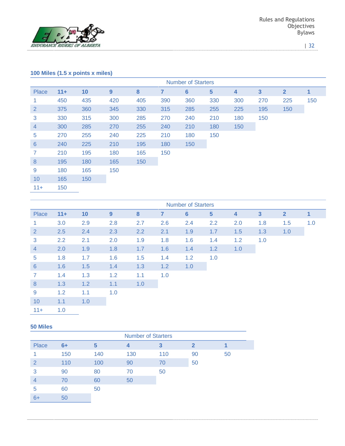

### **100 Miles (1.5 x points x miles)**

|                |       |     |     |     |     | <b>Number of Starters</b> |                |     |                         |                |     |
|----------------|-------|-----|-----|-----|-----|---------------------------|----------------|-----|-------------------------|----------------|-----|
| Place          | $11+$ | 10  | 9   | 8   | 7   | $6\phantom{1}6$           | $5\phantom{a}$ | 4   | $\overline{\mathbf{3}}$ | $\overline{2}$ | 1   |
| 1.             | 450   | 435 | 420 | 405 | 390 | 360                       | 330            | 300 | 270                     | 225            | 150 |
| $\overline{2}$ | 375   | 360 | 345 | 330 | 315 | 285                       | 255            | 225 | 195                     | 150            |     |
| 3              | 330   | 315 | 300 | 285 | 270 | 240                       | 210            | 180 | 150                     |                |     |
| $\overline{4}$ | 300   | 285 | 270 | 255 | 240 | 210                       | 180            | 150 |                         |                |     |
| 5              | 270   | 255 | 240 | 225 | 210 | 180                       | 150            |     |                         |                |     |
| $6\phantom{1}$ | 240   | 225 | 210 | 195 | 180 | 150                       |                |     |                         |                |     |
| $\mathbf{7}$   | 210   | 195 | 180 | 165 | 150 |                           |                |     |                         |                |     |
| 8              | 195   | 180 | 165 | 150 |     |                           |                |     |                         |                |     |
| 9              | 180   | 165 | 150 |     |     |                           |                |     |                         |                |     |
| 10             | 165   | 150 |     |     |     |                           |                |     |                         |                |     |
| $11+$          | 150   |     |     |     |     |                           |                |     |                         |                |     |

|                      |        |     |     |     |     | <b>Number of Starters</b> |                |                         |                         |                |     |
|----------------------|--------|-----|-----|-----|-----|---------------------------|----------------|-------------------------|-------------------------|----------------|-----|
| Place                | $11 +$ | 10  | 9   | 8   | 7   | $6\phantom{a}$            | $5\phantom{1}$ | $\overline{\mathbf{4}}$ | $\overline{\mathbf{3}}$ | $\overline{2}$ | 1   |
| $\blacktriangleleft$ | 3.0    | 2.9 | 2.8 | 2.7 | 2.6 | 2.4                       | 2.2            | 2.0                     | 1.8                     | 1.5            | 1.0 |
| $\overline{2}$       | 2.5    | 2.4 | 2.3 | 2.2 | 2.1 | 1.9                       | 1.7            | 1.5                     | 1.3                     | 1.0            |     |
| 3                    | 2.2    | 2.1 | 2.0 | 1.9 | 1.8 | 1.6                       | 1.4            | 1.2                     | 1.0                     |                |     |
| $\overline{4}$       | 2.0    | 1.9 | 1.8 | 1.7 | 1.6 | 1.4                       | 1.2            | 1.0                     |                         |                |     |
| $\overline{5}$       | 1.8    | 1.7 | 1.6 | 1.5 | 1.4 | 1.2                       | 1.0            |                         |                         |                |     |
| 6                    | 1.6    | 1.5 | 1.4 | 1.3 | 1.2 | 1.0                       |                |                         |                         |                |     |
| $\overline{7}$       | 1.4    | 1.3 | 1.2 | 1.1 | 1.0 |                           |                |                         |                         |                |     |
| 8                    | 1.3    | 1.2 | 1.1 | 1.0 |     |                           |                |                         |                         |                |     |
| 9                    | 1.2    | 1.1 | 1.0 |     |     |                           |                |                         |                         |                |     |
| 10                   | 1.1    | 1.0 |     |     |     |                           |                |                         |                         |                |     |
| $11 +$               | 1.0    |     |     |     |     |                           |                |                         |                         |                |     |

#### **50 Miles**

|                | <b>Number of Starters</b> |     |     |     |              |    |  |  |  |  |  |  |  |  |
|----------------|---------------------------|-----|-----|-----|--------------|----|--|--|--|--|--|--|--|--|
| Place          | $6+$                      | 5   | 4   | 3   | $\mathbf{2}$ |    |  |  |  |  |  |  |  |  |
|                | 150                       | 140 | 130 | 110 | 90           | 50 |  |  |  |  |  |  |  |  |
| $\overline{2}$ | 110                       | 100 | 90  | 70  | 50           |    |  |  |  |  |  |  |  |  |
| 3              | 90                        | 80  | 70  | 50  |              |    |  |  |  |  |  |  |  |  |
| 4              | 70                        | 60  | 50  |     |              |    |  |  |  |  |  |  |  |  |
| 5              | 60                        | 50  |     |     |              |    |  |  |  |  |  |  |  |  |
| $6+$           | 50                        |     |     |     |              |    |  |  |  |  |  |  |  |  |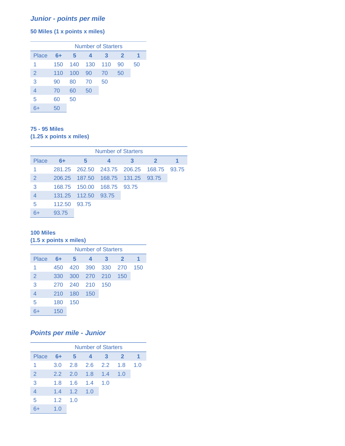### *Junior - points per mile*

### **50 Miles (1 x points x miles)**

|                | <b>Number of Starters</b> |     |     |     |              |    |
|----------------|---------------------------|-----|-----|-----|--------------|----|
| Place          | $6+$                      | 5   | 4   | 3   | $\mathbf{2}$ |    |
| 1              | 150                       | 140 | 130 | 110 | 90           | 50 |
| $\overline{2}$ | 110                       | 100 | 90  | 70  | 50           |    |
| 3              | 90                        | 80  | 70  | 50  |              |    |
| 4              | 70                        | 60  | 50  |     |              |    |
| 5              | 60                        | 50  |     |     |              |    |
|                | 50                        |     |     |     |              |    |

### **75 - 95 Miles (1.25 x points x miles)**

|       | Number of Starters |                     |                                       |   |                                               |  |  |
|-------|--------------------|---------------------|---------------------------------------|---|-----------------------------------------------|--|--|
| Place | $6+$               | $-5$                | 4                                     | 3 | $\mathbf{2}$                                  |  |  |
|       |                    |                     |                                       |   | 281.25  262.50  243.75  206.25  168.75  93.75 |  |  |
| 2     |                    |                     | 206.25  187.50  168.75  131.25  93.75 |   |                                               |  |  |
| 3     |                    |                     | 168.75 150.00 168.75 93.75            |   |                                               |  |  |
|       |                    | 131.25 112.50 93.75 |                                       |   |                                               |  |  |
| 5     | 112.50 93.75       |                     |                                       |   |                                               |  |  |
| 6+    | 93.75              |                     |                                       |   |                                               |  |  |

### **100 Miles**

### **(1.5 x points x miles)**

|                | <b>Number of Starters</b> |     |       |          |              |     |
|----------------|---------------------------|-----|-------|----------|--------------|-----|
| Place          | 6+                        | 5   | 4     | 3        | $\mathbf{2}$ |     |
| 1              | 450                       | 420 | 390   | 330      | 270          | 150 |
| $\overline{2}$ | 330                       | 300 | - 270 | 210<br>◆ | 150          |     |
| 3              | 270                       | 240 | 210   | 150      |              |     |
| $\overline{4}$ | 210                       | 180 | 150   |          |              |     |
| 5              | 180                       | 150 |       |          |              |     |
|                | 150                       |     |       |          |              |     |

### *Points per mile - Junior*

|                | <b>Number of Starters</b> |            |             |     |                |     |
|----------------|---------------------------|------------|-------------|-----|----------------|-----|
| Place          | $6+$                      | $\sqrt{5}$ | 4           | 3   | $\overline{2}$ |     |
| 1              | 3.0                       |            | 2.8 2.6 2.2 |     | 1.8            | 1.0 |
| 2              | 2.2                       | 2.0        | 1.8         | 1.4 | 1.0            |     |
| 3              | 1.8                       | 1.6        | 1.4         | 1.0 |                |     |
| $\overline{4}$ | 1.4                       | $-1.2$     | 1.0         |     |                |     |
| 5              | 1.2 <sub>2</sub>          | 1.0        |             |     |                |     |
|                | 1.0                       |            |             |     |                |     |